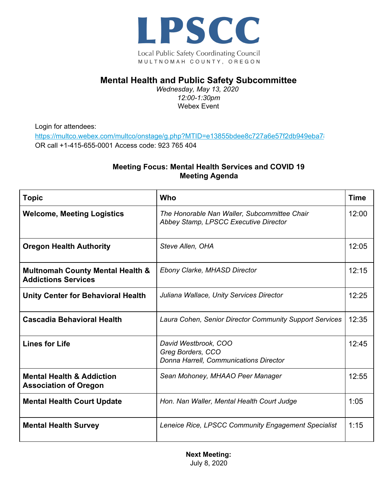

Local Public Safety Coordinating Council MULTNOMAH COUNTY, OREGON

## **Mental Health and Public Safety Subcommittee**

*Wednesday, May 13, 2020 12:00-1:30pm* Webex Event

Login for attendees: https://multco.webex.com/multco/onstage/g.php?MTID=e13855bdee8c727a6e57f2db949eba7 OR call +1-415-655-0001 Access code: 923 765 404

## **Meeting Focus: Mental Health Services and COVID 19 Meeting Agenda**

| <b>Topic</b>                                                              | <b>Who</b>                                                                                 | <b>Time</b> |
|---------------------------------------------------------------------------|--------------------------------------------------------------------------------------------|-------------|
| <b>Welcome, Meeting Logistics</b>                                         | The Honorable Nan Waller, Subcommittee Chair<br>Abbey Stamp, LPSCC Executive Director      | 12:00       |
| <b>Oregon Health Authority</b>                                            | Steve Allen, OHA                                                                           | 12:05       |
| <b>Multnomah County Mental Health &amp;</b><br><b>Addictions Services</b> | <b>Ebony Clarke, MHASD Director</b>                                                        | 12:15       |
| <b>Unity Center for Behavioral Health</b>                                 | Juliana Wallace, Unity Services Director                                                   | 12:25       |
| <b>Cascadia Behavioral Health</b>                                         | Laura Cohen, Senior Director Community Support Services                                    | 12:35       |
| <b>Lines for Life</b>                                                     | David Westbrook, COO<br><b>Greg Borders, CCO</b><br>Donna Harrell, Communications Director | 12:45       |
| <b>Mental Health &amp; Addiction</b><br><b>Association of Oregon</b>      | Sean Mohoney, MHAAO Peer Manager                                                           | 12:55       |
| <b>Mental Health Court Update</b>                                         | Hon. Nan Waller, Mental Health Court Judge                                                 | 1:05        |
| <b>Mental Health Survey</b>                                               | Leneice Rice, LPSCC Community Engagement Specialist                                        | 1:15        |